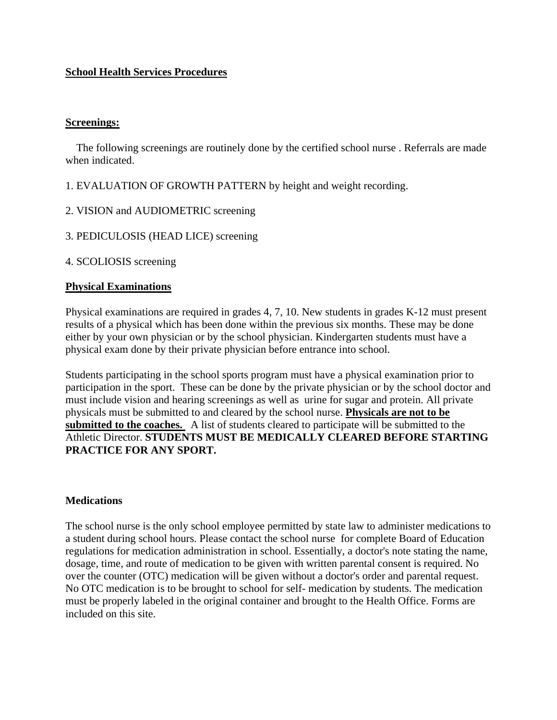# **School Health Services Procedures**

## **Screenings:**

The following screenings are routinely done by the certified school nurse. Referrals are made when indicated.

1. EVALUATION OF GROWTH PATTERN by height and weight recording.

- 2. VISION and AUDIOMETRIC screening
- 3. PEDICULOSIS (HEAD LICE) screening

4. SCOLIOSIS screening

## **Physical Examinations**

Physical examinations are required in grades 4, 7, 10. New students in grades K-12 must present results of a physical which has been done within the previous six months. These may be done either by your own physician or by the school physician. Kindergarten students must have a physical exam done by their private physician before entrance into school.

Students participating in the school sports program must have a physical examination prior to participation in the sport. These can be done by the private physician or by the school doctor and must include vision and hearing screenings as well as urine for sugar and protein. All private physicals must be submitted to and cleared by the school nurse. **Physicals are not to be submitted to the coaches.** A list of students cleared to participate will be submitted to the Athletic Director. **STUDENTS MUST BE MEDICALLY CLEARED BEFORE STARTING PRACTICE FOR ANY SPORT.** 

## **Medications**

The school nurse is the only school employee permitted by state law to administer medications to a student during school hours. Please contact the school nurse for complete Board of Education regulations for medication administration in school. Essentially, a doctor's note stating the name, dosage, time, and route of medication to be given with written parental consent is required. No over the counter (OTC) medication will be given without a doctor's order and parental request. No OTC medication is to be brought to school for self- medication by students. The medication must be properly labeled in the original container and brought to the Health Office. Forms are included on this site.